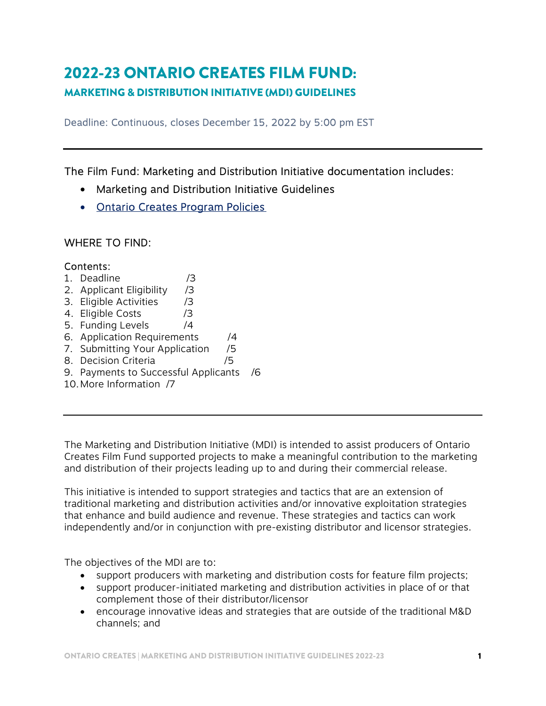# 2022-23 ONTARIO CREATES FILM FUND:

## MARKETING & DISTRIBUTION INITIATIVE (MDI) GUIDELINES

Deadline: Continuous, closes December 15, 2022 by 5:00 pm EST

The Film Fund: Marketing and Distribution Initiative documentation includes:

- Marketing and Distribution Initiative Guidelines
- [Ontario Creates Program Policies](https://ontariocreates.ca/uploads/industry_initiatives/eng/oc-program-policies_final.pdf)

## WHERE TO FIND:

#### Contents:

- 1. Deadline /3
- 2. Applicant Eligibility /3
- 3. Eligible Activities /3
- 4. Eligible Costs /3
- 5. Funding Levels /4
- 6. Application Requirements /4 7. Submitting Your Application /5
- 8. Decision Criteria /5
- 
- 9. Payments to Successful Applicants /6
- 10.More Information /7

The Marketing and Distribution Initiative (MDI) is intended to assist producers of Ontario Creates Film Fund supported projects to make a meaningful contribution to the marketing and distribution of their projects leading up to and during their commercial release.

This initiative is intended to support strategies and tactics that are an extension of traditional marketing and distribution activities and/or innovative exploitation strategies that enhance and build audience and revenue. These strategies and tactics can work independently and/or in conjunction with pre-existing distributor and licensor strategies.

The objectives of the MDI are to:

- support producers with marketing and distribution costs for feature film projects;
- support producer-initiated marketing and distribution activities in place of or that complement those of their distributor/licensor
- encourage innovative ideas and strategies that are outside of the traditional M&D channels; and

ONTARIO CREATES | MARKETING AND DISTRIBUTION INITIATIVE GUIDELINES 2022-23 1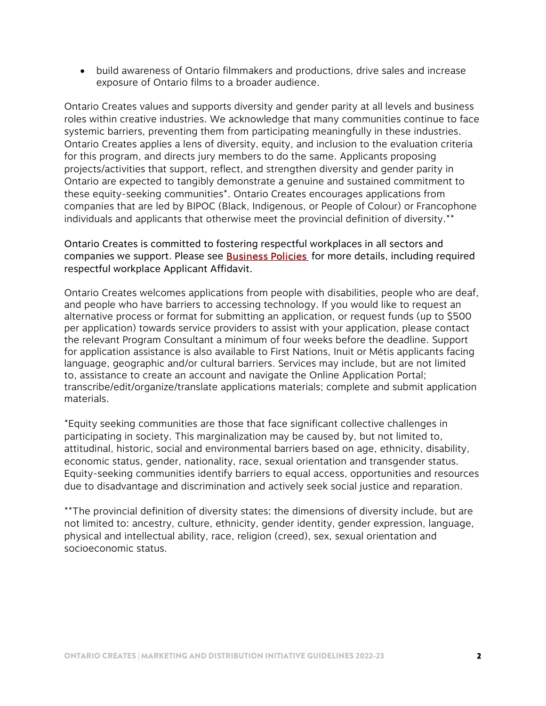build awareness of Ontario filmmakers and productions, drive sales and increase exposure of Ontario films to a broader audience.

Ontario Creates values and supports diversity and gender parity at all levels and business roles within creative industries. We acknowledge that many communities continue to face systemic barriers, preventing them from participating meaningfully in these industries. Ontario Creates applies a lens of diversity, equity, and inclusion to the evaluation criteria for this program, and directs jury members to do the same. Applicants proposing projects/activities that support, reflect, and strengthen diversity and gender parity in Ontario are expected to tangibly demonstrate a genuine and sustained commitment to these equity-seeking communities\*. Ontario Creates encourages applications from companies that are led by BIPOC (Black, Indigenous, or People of Colour) or Francophone individuals and applicants that otherwise meet the provincial definition of diversity.\*\*

Ontario Creates is committed to fostering respectful workplaces in all sectors and companies we support. Please see **Business Policies** for more details, including required respectful workplace Applicant Affidavit.

Ontario Creates welcomes applications from people with disabilities, people who are deaf, and people who have barriers to accessing technology. If you would like to request an alternative process or format for submitting an application, or request funds (up to \$500 per application) towards service providers to assist with your application, please contact the relevant Program Consultant a minimum of four weeks before the deadline. Support for application assistance is also available to First Nations, Inuit or Métis applicants facing language, geographic and/or cultural barriers. Services may include, but are not limited to, assistance to create an account and navigate the Online Application Portal; transcribe/edit/organize/translate applications materials; complete and submit application materials.

\*Equity seeking communities are those that face significant collective challenges in participating in society. This marginalization may be caused by, but not limited to, attitudinal, historic, social and environmental barriers based on age, ethnicity, disability, economic status, gender, nationality, race, sexual orientation and transgender status. Equity-seeking communities identify barriers to equal access, opportunities and resources due to disadvantage and discrimination and actively seek social justice and reparation.

\*\*The provincial definition of diversity states: the dimensions of diversity include, but are not limited to: ancestry, culture, ethnicity, gender identity, gender expression, language, physical and intellectual ability, race, religion (creed), sex, sexual orientation and socioeconomic status.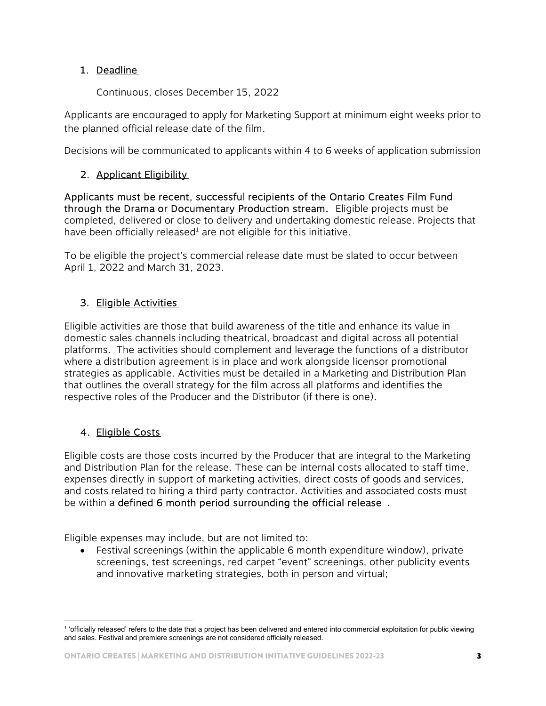### 1. Deadline

Continuous, closes December 15, 2022

Applicants are encouraged to apply for Marketing Support at minimum eight weeks prior to the planned official release date of the film.

Decisions will be communicated to applicants within 4 to 6 weeks of application submission

## 2. Applicant Eligibility

Applicants must be recent, successful recipients of the Ontario Creates Film Fund through the Drama or Documentary Production stream. Eligible projects must be completed, delivered or close to delivery and undertaking domestic release. Projects that have been officially released $^1$  are not eligible for this initiative.

To be eligible the project's commercial release date must be slated to occur between April 1, 2022 and March 31, 2023.

## 3. Eligible Activities

Eligible activities are those that build awareness of the title and enhance its value in domestic sales channels including theatrical, broadcast and digital across all potential platforms. The activities should complement and leverage the functions of a distributor where a distribution agreement is in place and work alongside licensor promotional strategies as applicable. Activities must be detailed in a Marketing and Distribution Plan that outlines the overall strategy for the film across all platforms and identifies the respective roles of the Producer and the Distributor (if there is one).

## 4. Eligible Costs

Eligible costs are those costs incurred by the Producer that are integral to the Marketing and Distribution Plan for the release. These can be internal costs allocated to staff time, expenses directly in support of marketing activities, direct costs of goods and services, and costs related to hiring a third party contractor. Activities and associated costs must be within a defined 6 month period surrounding the official release .

Eligible expenses may include, but are not limited to:

 Festival screenings (within the applicable 6 month expenditure window), private screenings, test screenings, red carpet "event" screenings, other publicity events and innovative marketing strategies, both in person and virtual;

 $\overline{a}$ <sup>1</sup> 'officially released' refers to the date that a project has been delivered and entered into commercial exploitation for public viewing and sales. Festival and premiere screenings are not considered officially released.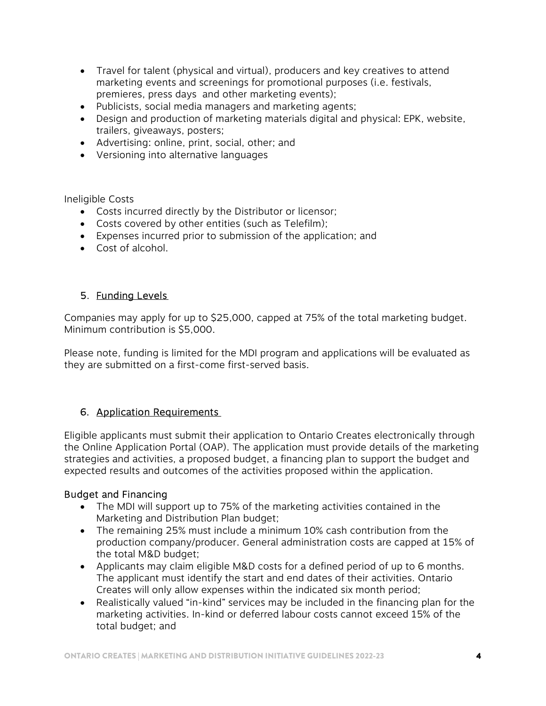- Travel for talent (physical and virtual), producers and key creatives to attend marketing events and screenings for promotional purposes (i.e. festivals, premieres, press days and other marketing events);
- Publicists, social media managers and marketing agents;
- Design and production of marketing materials digital and physical: EPK, website, trailers, giveaways, posters;
- Advertising: online, print, social, other; and
- Versioning into alternative languages

Ineligible Costs

- Costs incurred directly by the Distributor or licensor;
- Costs covered by other entities (such as Telefilm);
- Expenses incurred prior to submission of the application; and
- Cost of alcohol.

## 5. Funding Levels

Companies may apply for up to \$25,000, capped at 75% of the total marketing budget. Minimum contribution is \$5,000.

Please note, funding is limited for the MDI program and applications will be evaluated as they are submitted on a first-come first-served basis.

#### 6. Application Requirements

Eligible applicants must submit their application to Ontario Creates electronically through the Online Application Portal (OAP). The application must provide details of the marketing strategies and activities, a proposed budget, a financing plan to support the budget and expected results and outcomes of the activities proposed within the application.

#### Budget and Financing

- The MDI will support up to 75% of the marketing activities contained in the Marketing and Distribution Plan budget;
- The remaining 25% must include a minimum 10% cash contribution from the production company/producer. General administration costs are capped at 15% of the total M&D budget;
- Applicants may claim eligible M&D costs for a defined period of up to 6 months. The applicant must identify the start and end dates of their activities. Ontario Creates will only allow expenses within the indicated six month period;
- Realistically valued "in-kind" services may be included in the financing plan for the marketing activities. In-kind or deferred labour costs cannot exceed 15% of the total budget; and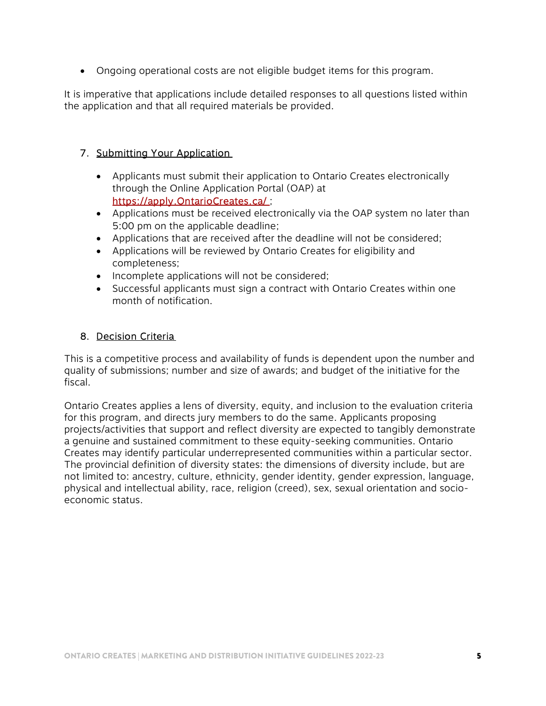Ongoing operational costs are not eligible budget items for this program.

It is imperative that applications include detailed responses to all questions listed within the application and that all required materials be provided.

### 7. Submitting Your Application

- Applicants must submit their application to Ontario Creates electronically through the Online Application Portal (OAP) at https://apply.OntarioCreates.ca/ ;
- Applications must be received electronically via the OAP system no later than 5:00 pm on the applicable deadline;
- Applications that are received after the deadline will not be considered;
- Applications will be reviewed by Ontario Creates for eligibility and completeness;
- Incomplete applications will not be considered;
- Successful applicants must sign a contract with Ontario Creates within one month of notification.

#### 8. Decision Criteria

This is a competitive process and availability of funds is dependent upon the number and quality of submissions; number and size of awards; and budget of the initiative for the fiscal.

Ontario Creates applies a lens of diversity, equity, and inclusion to the evaluation criteria for this program, and directs jury members to do the same. Applicants proposing projects/activities that support and reflect diversity are expected to tangibly demonstrate a genuine and sustained commitment to these equity-seeking communities. Ontario Creates may identify particular underrepresented communities within a particular sector. The provincial definition of diversity states: the dimensions of diversity include, but are not limited to: ancestry, culture, ethnicity, gender identity, gender expression, language, physical and intellectual ability, race, religion (creed), sex, sexual orientation and socioeconomic status.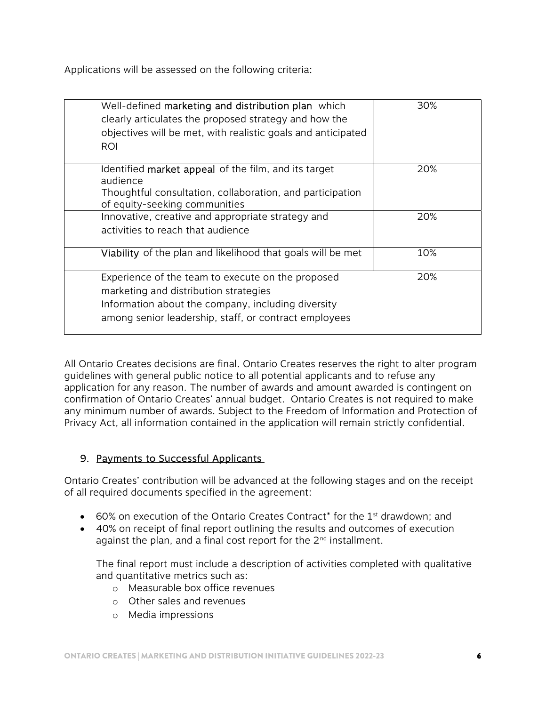Applications will be assessed on the following criteria:

| Well-defined marketing and distribution plan which<br>clearly articulates the proposed strategy and how the<br>objectives will be met, with realistic goals and anticipated<br><b>ROI</b>                 | 30% |
|-----------------------------------------------------------------------------------------------------------------------------------------------------------------------------------------------------------|-----|
| Identified market appeal of the film, and its target<br>audience<br>Thoughtful consultation, collaboration, and participation<br>of equity-seeking communities                                            | 20% |
| Innovative, creative and appropriate strategy and<br>activities to reach that audience                                                                                                                    | 20% |
| Viability of the plan and likelihood that goals will be met                                                                                                                                               | 10% |
| Experience of the team to execute on the proposed<br>marketing and distribution strategies<br>Information about the company, including diversity<br>among senior leadership, staff, or contract employees | 20% |

All Ontario Creates decisions are final. Ontario Creates reserves the right to alter program guidelines with general public notice to all potential applicants and to refuse any application for any reason. The number of awards and amount awarded is contingent on confirmation of Ontario Creates' annual budget. Ontario Creates is not required to make any minimum number of awards. Subject to the Freedom of Information and Protection of Privacy Act, all information contained in the application will remain strictly confidential.

#### 9. Payments to Successful Applicants

Ontario Creates' contribution will be advanced at the following stages and on the receipt of all required documents specified in the agreement:

- $\bullet$  60% on execution of the Ontario Creates Contract<sup>\*</sup> for the 1<sup>st</sup> drawdown; and
- 40% on receipt of final report outlining the results and outcomes of execution against the plan, and a final cost report for the  $2<sup>nd</sup>$  installment.

The final report must include a description of activities completed with qualitative and quantitative metrics such as:

- o Measurable box office revenues
- o Other sales and revenues
- o Media impressions